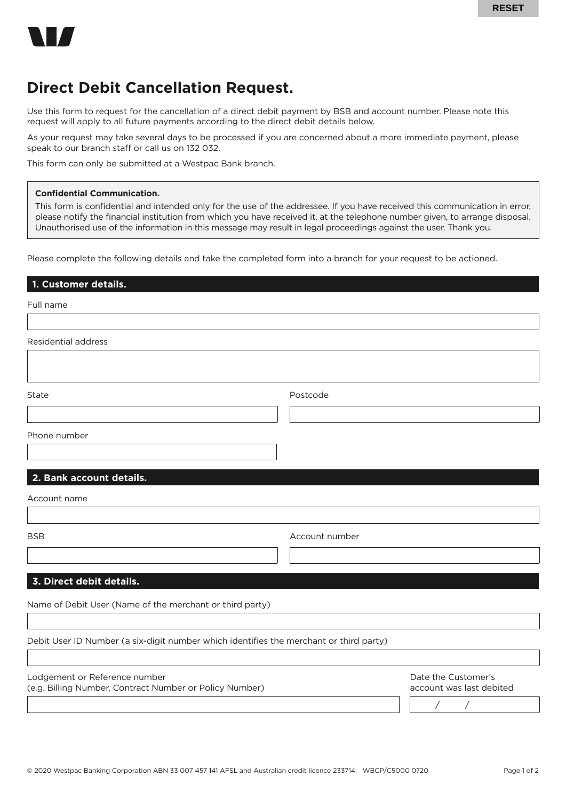

## **Direct Debit Cancellation Request.**

Use this form to request for the cancellation of a direct debit payment by BSB and account number. Please note this request will apply to all future payments according to the direct debit details below.

As your request may take several days to be processed if you are concerned about a more immediate payment, please speak to our branch staff or call us on 132 032.

This form can only be submitted at a Westpac Bank branch.

## **Confidential Communication.**

This form is confidential and intended only for the use of the addressee. If you have received this communication in error, please notify the financial institution from which you have received it, at the telephone number given, to arrange disposal. Unauthorised use of the information in this message may result in legal proceedings against the user. Thank you.

Please complete the following details and take the completed form into a branch for your request to be actioned.

Full name

| Residential address                                                                      |                |                                                           |
|------------------------------------------------------------------------------------------|----------------|-----------------------------------------------------------|
|                                                                                          |                |                                                           |
| State                                                                                    | Postcode       |                                                           |
| Phone number                                                                             |                |                                                           |
| 2. Bank account details.                                                                 |                |                                                           |
| Account name                                                                             |                |                                                           |
| <b>BSB</b>                                                                               | Account number |                                                           |
| 3. Direct debit details.                                                                 |                |                                                           |
| Name of Debit User (Name of the merchant or third party)                                 |                |                                                           |
| Debit User ID Number (a six-digit number which identifies the merchant or third party)   |                |                                                           |
| Lodgement or Reference number<br>(e.g. Billing Number, Contract Number or Policy Number) |                | Date the Customer's<br>account was last debited<br>Γ<br>Γ |
|                                                                                          |                |                                                           |